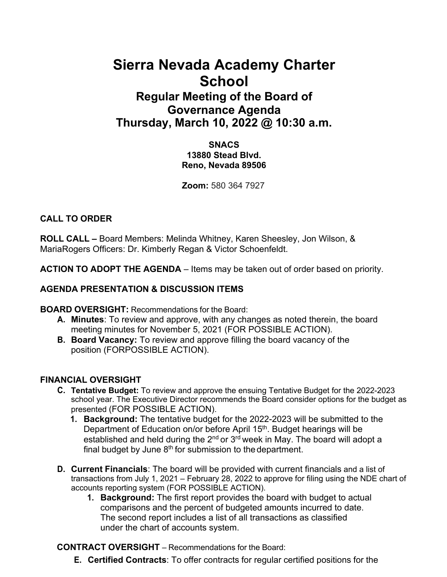# **Sierra Nevada Academy Charter School**

# **Regular Meeting of the Board of Governance Agenda Thursday, March 10, 2022 @ 10:30 a.m.**

#### **SNACS 13880 Stead Blvd. Reno, Nevada 89506**

**Zoom:** 580 364 7927

# **CALL TO ORDER**

**ROLL CALL –** Board Members: Melinda Whitney, Karen Sheesley, Jon Wilson, & MariaRogers Officers: Dr. Kimberly Regan & Victor Schoenfeldt.

**ACTION TO ADOPT THE AGENDA** – Items may be taken out of order based on priority.

# **AGENDA PRESENTATION & DISCUSSION ITEMS**

**BOARD OVERSIGHT:** Recommendations for the Board:

- **A. Minutes**: To review and approve, with any changes as noted therein, the board meeting minutes for November 5, 2021 (FOR POSSIBLE ACTION).
- **B. Board Vacancy:** To review and approve filling the board vacancy of the position (FORPOSSIBLE ACTION).

# **FINANCIAL OVERSIGHT**

- **C. Tentative Budget:** To review and approve the ensuing Tentative Budget for the 2022-2023 school year. The Executive Director recommends the Board consider options for the budget as presented (FOR POSSIBLE ACTION).
	- **1. Background:** The tentative budget for the 2022-2023 will be submitted to the Department of Education on/or before April 15<sup>th</sup>. Budget hearings will be established and held during the  $2^{nd}$  or  $3^{rd}$  week in May. The board will adopt a final budget by June  $8<sup>th</sup>$  for submission to the department.
- **D. Current Financials**: The board will be provided with current financials and a list of transactions from July 1, 2021 – February 28, 2022 to approve for filing using the NDE chart of accounts reporting system (FOR POSSIBLE ACTION).
	- **1. Background:** The first report provides the board with budget to actual comparisons and the percent of budgeted amounts incurred to date. The second report includes a list of all transactions as classified under the chart of accounts system.

**CONTRACT OVERSIGHT** – Recommendations for the Board:

**E. Certified Contracts**: To offer contracts for regular certified positions for the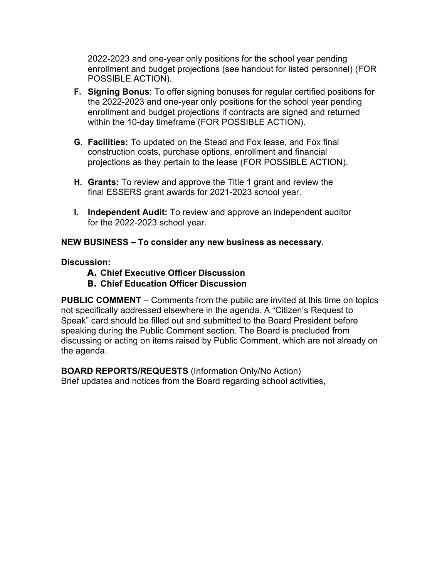2022-2023 and one-year only positions for the school year pending enrollment and budget projections (see handout for listed personnel) (FOR POSSIBLE ACTION).

- **F. Signing Bonus**: To offer signing bonuses for regular certified positions for the 2022-2023 and one-year only positions for the school year pending enrollment and budget projections if contracts are signed and returned within the 10-day timeframe (FOR POSSIBLE ACTION).
- **G. Facilities:** To updated on the Stead and Fox lease, and Fox final construction costs, purchase options, enrollment and financial projections as they pertain to the lease (FOR POSSIBLE ACTION).
- **H. Grants:** To review and approve the Title 1 grant and review the final ESSERS grant awards for 2021-2023 school year.
- **I. Independent Audit:** To review and approve an independent auditor for the 2022-2023 school year.

#### **NEW BUSINESS – To consider any new business as necessary.**

**Discussion:**

- **A. Chief Executive Officer Discussion**
- **B. Chief Education Officer Discussion**

**PUBLIC COMMENT** – Comments from the public are invited at this time on topics not specifically addressed elsewhere in the agenda. A "Citizen's Request to Speak" card should be filled out and submitted to the Board President before speaking during the Public Comment section. The Board is precluded from discussing or acting on items raised by Public Comment, which are not already on the agenda.

**BOARD REPORTS/REQUESTS** (Information Only/No Action) Brief updates and notices from the Board regarding school activities,